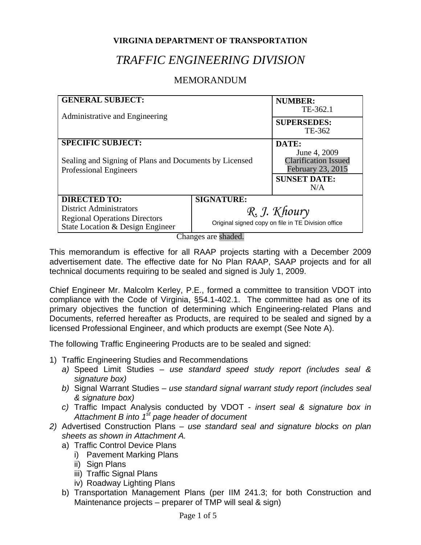#### **VIRGINIA DEPARTMENT OF TRANSPORTATION**

# *TRAFFIC ENGINEERING DIVISION*

## MEMORANDUM

| <b>GENERAL SUBJECT:</b><br>Administrative and Engineering                        |                                                                    | <b>NUMBER:</b><br>TE-362.1                                              |
|----------------------------------------------------------------------------------|--------------------------------------------------------------------|-------------------------------------------------------------------------|
|                                                                                  |                                                                    | <b>SUPERSEDES:</b><br>TE-362                                            |
| <b>SPECIFIC SUBJECT:</b>                                                         |                                                                    | DATE:                                                                   |
| Sealing and Signing of Plans and Documents by Licensed<br>Professional Engineers |                                                                    | June 4, 2009<br><b>Clarification Issued</b><br><b>February 23, 2015</b> |
|                                                                                  |                                                                    | <b>SUNSET DATE:</b><br>N/A                                              |
| <b>DIRECTED TO:</b>                                                              | <b>SIGNATURE:</b>                                                  |                                                                         |
| <b>District Administrators</b>                                                   | R. J. Khoury<br>Original signed copy on file in TE Division office |                                                                         |
| <b>Regional Operations Directors</b><br>State Location & Design Engineer         |                                                                    |                                                                         |

Changes are shaded.

This memorandum is effective for all RAAP projects starting with a December 2009 advertisement date. The effective date for No Plan RAAP, SAAP projects and for all technical documents requiring to be sealed and signed is July 1, 2009.

Chief Engineer Mr. Malcolm Kerley, P.E., formed a committee to transition VDOT into compliance with the Code of Virginia, §54.1-402.1. The committee had as one of its primary objectives the function of determining which Engineering-related Plans and Documents, referred hereafter as Products, are required to be sealed and signed by a licensed Professional Engineer, and which products are exempt (See Note A).

The following Traffic Engineering Products are to be sealed and signed:

- 1) Traffic Engineering Studies and Recommendations
	- *a)* Speed Limit Studies *use standard speed study report (includes seal & signature box)*
	- *b)* Signal Warrant Studies *use standard signal warrant study report (includes seal & signature box)*
	- *c)* Traffic Impact Analysis conducted by VDOT *insert seal & signature box in Attachment B into 1st page header of document*
- *2)* Advertised Construction Plans *use standard seal and signature blocks on plan sheets as shown in Attachment A.* 
	- a) Traffic Control Device Plans
		- i) Pavement Marking Plans
		- ii) Sign Plans
		- iii) Traffic Signal Plans
		- iv) Roadway Lighting Plans
	- b) Transportation Management Plans (per IIM 241.3; for both Construction and Maintenance projects – preparer of TMP will seal & sign)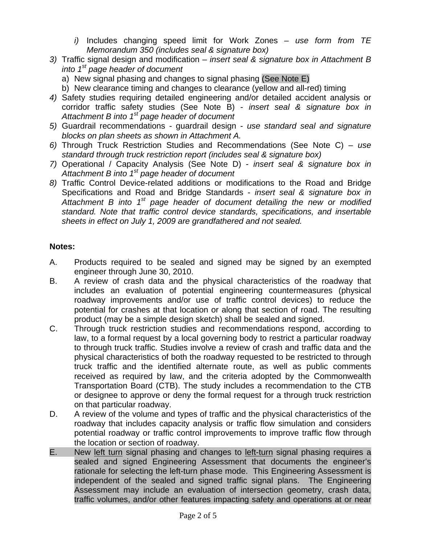- *i)* Includes changing speed limit for Work Zones *use form from TE Memorandum 350 (includes seal & signature box)*
- *3)* Traffic signal design and modification *insert seal & signature box in Attachment B into 1st page header of document* 
	- a) New signal phasing and changes to signal phasing (See Note E)
	- b) New clearance timing and changes to clearance (yellow and all-red) timing
- *4)* Safety studies requiring detailed engineering and/or detailed accident analysis or corridor traffic safety studies (See Note B) - *insert seal & signature box in Attachment B into 1st page header of document*
- *5)* Guardrail recommendations guardrail design *use standard seal and signature blocks on plan sheets as shown in Attachment A.*
- *6)* Through Truck Restriction Studies and Recommendations (See Note C) *use standard through truck restriction report (includes seal & signature box)*
- *7)* Operational / Capacity Analysis (See Note D) - *insert seal & signature box in Attachment B into 1st page header of document*
- *8)* Traffic Control Device-related additions or modifications to the Road and Bridge Specifications and Road and Bridge Standards - *insert seal & signature box in Attachment B into 1st page header of document detailing the new or modified standard. Note that traffic control device standards, specifications, and insertable sheets in effect on July 1, 2009 are grandfathered and not sealed.*

### **Notes:**

- A. Products required to be sealed and signed may be signed by an exempted engineer through June 30, 2010.
- B. A review of crash data and the physical characteristics of the roadway that includes an evaluation of potential engineering countermeasures (physical roadway improvements and/or use of traffic control devices) to reduce the potential for crashes at that location or along that section of road. The resulting product (may be a simple design sketch) shall be sealed and signed.
- C. Through truck restriction studies and recommendations respond, according to law, to a formal request by a local governing body to restrict a particular roadway to through truck traffic. Studies involve a review of crash and traffic data and the physical characteristics of both the roadway requested to be restricted to through truck traffic and the identified alternate route, as well as public comments received as required by law, and the criteria adopted by the Commonwealth Transportation Board (CTB). The study includes a recommendation to the CTB or designee to approve or deny the formal request for a through truck restriction on that particular roadway.
- D. A review of the volume and types of traffic and the physical characteristics of the roadway that includes capacity analysis or traffic flow simulation and considers potential roadway or traffic control improvements to improve traffic flow through the location or section of roadway.
- E. New left turn signal phasing and changes to left-turn signal phasing requires a sealed and signed Engineering Assessment that documents the engineer's rationale for selecting the left-turn phase mode. This Engineering Assessment is independent of the sealed and signed traffic signal plans. The Engineering Assessment may include an evaluation of intersection geometry, crash data, traffic volumes, and/or other features impacting safety and operations at or near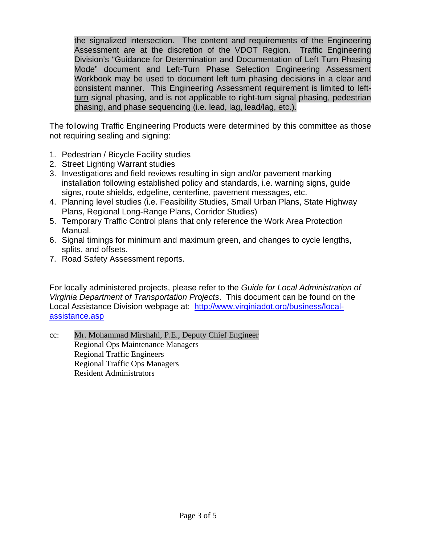the signalized intersection. The content and requirements of the Engineering Assessment are at the discretion of the VDOT Region. Traffic Engineering Division's "Guidance for Determination and Documentation of Left Turn Phasing Mode" document and Left-Turn Phase Selection Engineering Assessment Workbook may be used to document left turn phasing decisions in a clear and consistent manner. This Engineering Assessment requirement is limited to leftturn signal phasing, and is not applicable to right-turn signal phasing, pedestrian phasing, and phase sequencing (i.e. lead, lag, lead/lag, etc.).

The following Traffic Engineering Products were determined by this committee as those not requiring sealing and signing:

- 1. Pedestrian / Bicycle Facility studies
- 2. Street Lighting Warrant studies
- 3. Investigations and field reviews resulting in sign and/or pavement marking installation following established policy and standards, i.e. warning signs, guide signs, route shields, edgeline, centerline, pavement messages, etc.
- 4. Planning level studies (i.e. Feasibility Studies, Small Urban Plans, State Highway Plans, Regional Long-Range Plans, Corridor Studies)
- 5. Temporary Traffic Control plans that only reference the Work Area Protection Manual.
- 6. Signal timings for minimum and maximum green, and changes to cycle lengths, splits, and offsets.
- 7. Road Safety Assessment reports.

For locally administered projects, please refer to the *Guide for Local Administration of Virginia Department of Transportation Projects*. This document can be found on the Local Assistance Division webpage at: http://www.virginiadot.org/business/localassistance.asp

cc: Mr. Mohammad Mirshahi, P.E., Deputy Chief Engineer Regional Ops Maintenance Managers Regional Traffic Engineers Regional Traffic Ops Managers Resident Administrators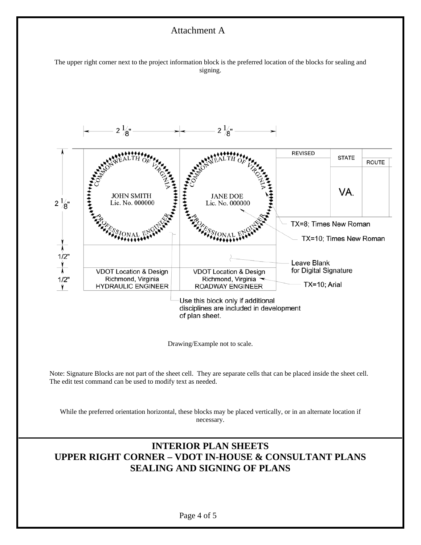#### Attachment A